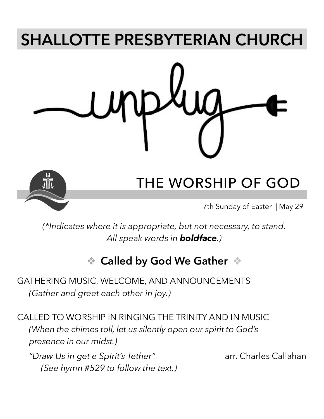# **SHALLOTTE PRESBYTERIAN CHURCH**



# **THE WORSHIP OF GOD**

7th Sunday of Easter | May 29

*(\*Indicates where it is appropriate, but not necessary, to stand. All speak words in boldface.)*

## ❖ **Called by God We Gather** ❖

GATHERING MUSIC, WELCOME, AND ANNOUNCEMENTS *(Gather and greet each other in joy.)*

CALLED TO WORSHIP IN RINGING THE TRINITY AND IN MUSIC *(When the chimes toll, let us silently open our spirit to God's presence in our midst.)*

"Draw Us in get e Spirit's Tether" arr. Charles Callahan *(See hymn #529 to follow the text.)*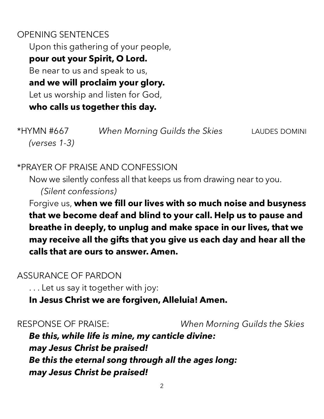### OPENING SENTENCES Upon this gathering of your people, **pour out your Spirit, O Lord.** Be near to us and speak to us, **and we will proclaim your glory.** Let us worship and listen for God,

**who calls us together this day.** 

\*HYMN #667 *When Morning Guilds the Skies* LAUDES DOMINI *(verses 1-3)*

#### \*PRAYER OF PRAISE AND CONFESSION

Now we silently confess all that keeps us from drawing near to you.

*(Silent confessions)*

Forgive us, **when we fill our lives with so much noise and busyness that we become deaf and blind to your call. Help us to pause and breathe in deeply, to unplug and make space in our lives, that we may receive all the gifts that you give us each day and hear all the calls that are ours to answer. Amen.**

#### ASSURANCE OF PARDON

. . . Let us say it together with joy:

#### **In Jesus Christ we are forgiven, Alleluia! Amen.**

RESPONSE OF PRAISE: *When Morning Guilds the Skies*

*Be this, while life is mine, my canticle divine: may Jesus Christ be praised! Be this the eternal song through all the ages long: may Jesus Christ be praised!*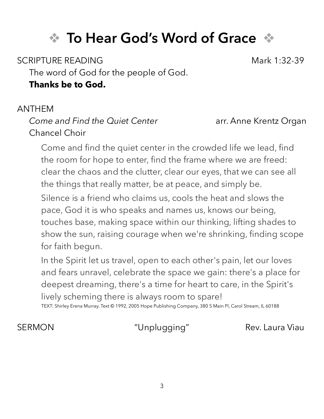# ❖ **To Hear God's Word of Grace** ❖

SCRIPTURE READING Mark 1:32-39

The word of God for the people of God.

#### **Thanks be to God.**

#### ANTHEM

#### *Come and Find the Quiet Center* **arr. Anne Krentz Organ** Chancel Choir

Come and find the quiet center in the crowded life we lead, find the room for hope to enter, find the frame where we are freed: clear the chaos and the clutter, clear our eyes, that we can see all the things that really matter, be at peace, and simply be.

Silence is a friend who claims us, cools the heat and slows the pace, God it is who speaks and names us, knows our being, touches base, making space within our thinking, lifting shades to show the sun, raising courage when we're shrinking, finding scope for faith begun.

In the Spirit let us travel, open to each other's pain, let our loves and fears unravel, celebrate the space we gain: there's a place for deepest dreaming, there's a time for heart to care, in the Spirit's lively scheming there is always room to spare!

TEXT: Shirley Erena Murray. Text © 1992, 2005 Hope Publishing Company, 380 S Main Pl, Carol Stream, IL 60188

SERMON "Unplugging" Rev. Laura Viau